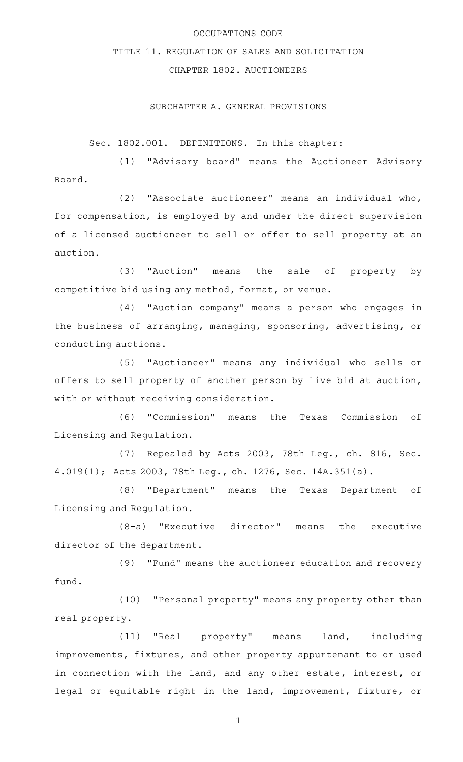# OCCUPATIONS CODE

# TITLE 11. REGULATION OF SALES AND SOLICITATION

# CHAPTER 1802. AUCTIONEERS

### SUBCHAPTER A. GENERAL PROVISIONS

Sec. 1802.001. DEFINITIONS. In this chapter:

(1) "Advisory board" means the Auctioneer Advisory Board.

(2) "Associate auctioneer" means an individual who, for compensation, is employed by and under the direct supervision of a licensed auctioneer to sell or offer to sell property at an auction.

(3) "Auction" means the sale of property by competitive bid using any method, format, or venue.

(4) "Auction company" means a person who engages in the business of arranging, managing, sponsoring, advertising, or conducting auctions.

(5) "Auctioneer" means any individual who sells or offers to sell property of another person by live bid at auction, with or without receiving consideration.

(6) "Commission" means the Texas Commission of Licensing and Regulation.

(7) Repealed by Acts 2003, 78th Leg., ch. 816, Sec. 4.019(1); Acts 2003, 78th Leg., ch. 1276, Sec. 14A.351(a).

(8) "Department" means the Texas Department of Licensing and Regulation.

 $(8-a)$  "Executive director" means the executive director of the department.

(9) "Fund" means the auctioneer education and recovery fund.

(10) "Personal property" means any property other than real property.

(11) "Real property" means land, including improvements, fixtures, and other property appurtenant to or used in connection with the land, and any other estate, interest, or legal or equitable right in the land, improvement, fixture, or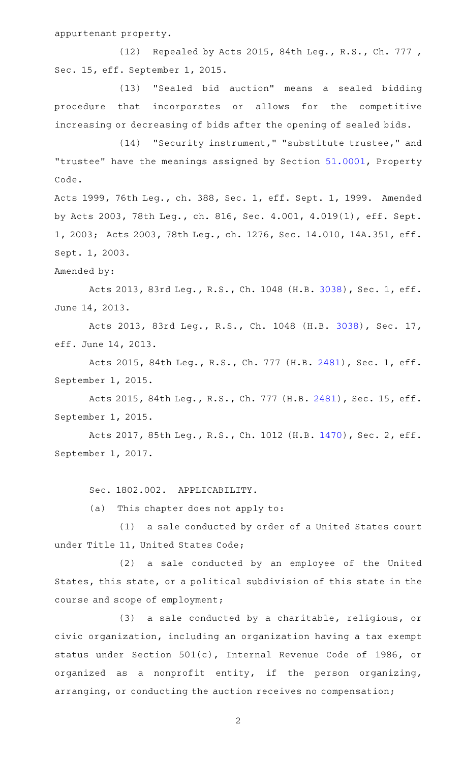appurtenant property.

(12) Repealed by Acts 2015, 84th Leg., R.S., Ch. 777, Sec. 15, eff. September 1, 2015.

(13) "Sealed bid auction" means a sealed bidding procedure that incorporates or allows for the competitive increasing or decreasing of bids after the opening of sealed bids.

(14) "Security instrument," "substitute trustee," and "trustee" have the meanings assigned by Section [51.0001](http://www.statutes.legis.state.tx.us/GetStatute.aspx?Code=PR&Value=51.0001), Property Code.

Acts 1999, 76th Leg., ch. 388, Sec. 1, eff. Sept. 1, 1999. Amended by Acts 2003, 78th Leg., ch. 816, Sec. 4.001, 4.019(1), eff. Sept. 1, 2003; Acts 2003, 78th Leg., ch. 1276, Sec. 14.010, 14A.351, eff. Sept. 1, 2003.

### Amended by:

Acts 2013, 83rd Leg., R.S., Ch. 1048 (H.B. [3038](http://www.legis.state.tx.us/tlodocs/83R/billtext/html/HB03038F.HTM)), Sec. 1, eff. June 14, 2013.

Acts 2013, 83rd Leg., R.S., Ch. 1048 (H.B. [3038](http://www.legis.state.tx.us/tlodocs/83R/billtext/html/HB03038F.HTM)), Sec. 17, eff. June 14, 2013.

Acts 2015, 84th Leg., R.S., Ch. 777 (H.B. [2481](http://www.legis.state.tx.us/tlodocs/84R/billtext/html/HB02481F.HTM)), Sec. 1, eff. September 1, 2015.

Acts 2015, 84th Leg., R.S., Ch. 777 (H.B. [2481\)](http://www.legis.state.tx.us/tlodocs/84R/billtext/html/HB02481F.HTM), Sec. 15, eff. September 1, 2015.

Acts 2017, 85th Leg., R.S., Ch. 1012 (H.B. [1470](http://www.legis.state.tx.us/tlodocs/85R/billtext/html/HB01470F.HTM)), Sec. 2, eff. September 1, 2017.

Sec. 1802.002. APPLICABILITY.

(a) This chapter does not apply to:

(1) a sale conducted by order of a United States court under Title 11, United States Code;

(2) a sale conducted by an employee of the United States, this state, or a political subdivision of this state in the course and scope of employment;

(3) a sale conducted by a charitable, religious, or civic organization, including an organization having a tax exempt status under Section 501(c), Internal Revenue Code of 1986, or organized as a nonprofit entity, if the person organizing, arranging, or conducting the auction receives no compensation;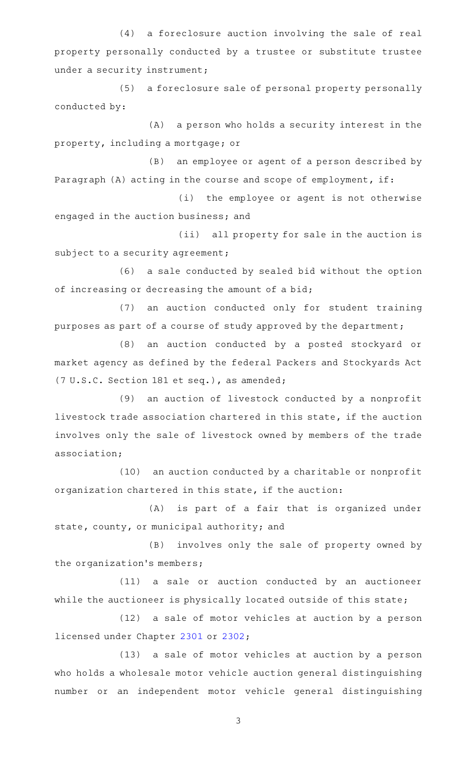(4) a foreclosure auction involving the sale of real property personally conducted by a trustee or substitute trustee under a security instrument;

(5) a foreclosure sale of personal property personally conducted by:

(A) a person who holds a security interest in the property, including a mortgage; or

(B) an employee or agent of a person described by Paragraph (A) acting in the course and scope of employment, if:

(i) the employee or agent is not otherwise engaged in the auction business; and

(ii) all property for sale in the auction is subject to a security agreement;

(6) a sale conducted by sealed bid without the option of increasing or decreasing the amount of a bid;

(7) an auction conducted only for student training purposes as part of a course of study approved by the department;

(8) an auction conducted by a posted stockyard or market agency as defined by the federal Packers and Stockyards Act (7 U.S.C. Section 181 et seq.), as amended;

(9) an auction of livestock conducted by a nonprofit livestock trade association chartered in this state, if the auction involves only the sale of livestock owned by members of the trade association;

(10) an auction conducted by a charitable or nonprofit organization chartered in this state, if the auction:

(A) is part of a fair that is organized under state, county, or municipal authority; and

(B) involves only the sale of property owned by the organization 's members;

(11) a sale or auction conducted by an auctioneer while the auctioneer is physically located outside of this state;

(12) a sale of motor vehicles at auction by a person licensed under Chapter [2301](http://www.statutes.legis.state.tx.us/GetStatute.aspx?Code=OC&Value=2301) or [2302;](http://www.statutes.legis.state.tx.us/GetStatute.aspx?Code=OC&Value=2302)

(13) a sale of motor vehicles at auction by a person who holds a wholesale motor vehicle auction general distinguishing number or an independent motor vehicle general distinguishing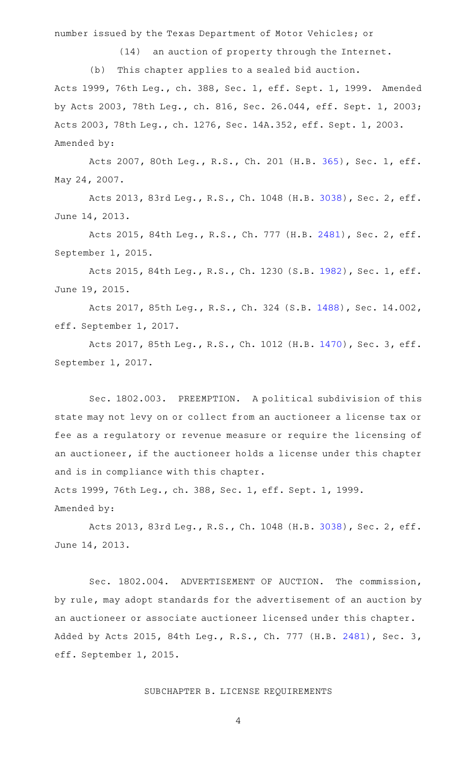number issued by the Texas Department of Motor Vehicles; or

(14) an auction of property through the Internet.

(b) This chapter applies to a sealed bid auction. Acts 1999, 76th Leg., ch. 388, Sec. 1, eff. Sept. 1, 1999. Amended by Acts 2003, 78th Leg., ch. 816, Sec. 26.044, eff. Sept. 1, 2003; Acts 2003, 78th Leg., ch. 1276, Sec. 14A.352, eff. Sept. 1, 2003. Amended by:

Acts 2007, 80th Leg., R.S., Ch. 201 (H.B. [365](http://www.legis.state.tx.us/tlodocs/80R/billtext/html/HB00365F.HTM)), Sec. 1, eff. May 24, 2007.

Acts 2013, 83rd Leg., R.S., Ch. 1048 (H.B. [3038](http://www.legis.state.tx.us/tlodocs/83R/billtext/html/HB03038F.HTM)), Sec. 2, eff. June 14, 2013.

Acts 2015, 84th Leg., R.S., Ch. 777 (H.B. [2481](http://www.legis.state.tx.us/tlodocs/84R/billtext/html/HB02481F.HTM)), Sec. 2, eff. September 1, 2015.

Acts 2015, 84th Leg., R.S., Ch. 1230 (S.B. [1982](http://www.legis.state.tx.us/tlodocs/84R/billtext/html/SB01982F.HTM)), Sec. 1, eff. June 19, 2015.

Acts 2017, 85th Leg., R.S., Ch. 324 (S.B. [1488\)](http://www.legis.state.tx.us/tlodocs/85R/billtext/html/SB01488F.HTM), Sec. 14.002, eff. September 1, 2017.

Acts 2017, 85th Leg., R.S., Ch. 1012 (H.B. [1470](http://www.legis.state.tx.us/tlodocs/85R/billtext/html/HB01470F.HTM)), Sec. 3, eff. September 1, 2017.

Sec. 1802.003. PREEMPTION. A political subdivision of this state may not levy on or collect from an auctioneer a license tax or fee as a regulatory or revenue measure or require the licensing of an auctioneer, if the auctioneer holds a license under this chapter and is in compliance with this chapter.

Acts 1999, 76th Leg., ch. 388, Sec. 1, eff. Sept. 1, 1999. Amended by:

Acts 2013, 83rd Leg., R.S., Ch. 1048 (H.B. [3038](http://www.legis.state.tx.us/tlodocs/83R/billtext/html/HB03038F.HTM)), Sec. 2, eff. June 14, 2013.

Sec. 1802.004. ADVERTISEMENT OF AUCTION. The commission, by rule, may adopt standards for the advertisement of an auction by an auctioneer or associate auctioneer licensed under this chapter. Added by Acts 2015, 84th Leg., R.S., Ch. 777 (H.B. [2481](http://www.legis.state.tx.us/tlodocs/84R/billtext/html/HB02481F.HTM)), Sec. 3, eff. September 1, 2015.

# SUBCHAPTER B. LICENSE REQUIREMENTS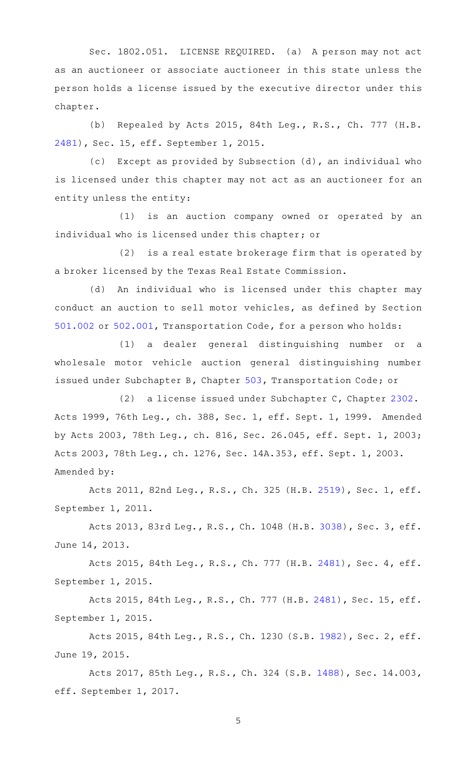Sec. 1802.051. LICENSE REQUIRED. (a) A person may not act as an auctioneer or associate auctioneer in this state unless the person holds a license issued by the executive director under this chapter.

(b) Repealed by Acts 2015, 84th Leg., R.S., Ch. 777 (H.B. [2481](http://www.legis.state.tx.us/tlodocs/84R/billtext/html/HB02481F.HTM)), Sec. 15, eff. September 1, 2015.

(c) Except as provided by Subsection (d), an individual who is licensed under this chapter may not act as an auctioneer for an entity unless the entity:

(1) is an auction company owned or operated by an individual who is licensed under this chapter; or

 $(2)$  is a real estate brokerage firm that is operated by a broker licensed by the Texas Real Estate Commission.

(d) An individual who is licensed under this chapter may conduct an auction to sell motor vehicles, as defined by Section [501.002](http://www.statutes.legis.state.tx.us/GetStatute.aspx?Code=TN&Value=501.002) or [502.001,](http://www.statutes.legis.state.tx.us/GetStatute.aspx?Code=TN&Value=502.001) Transportation Code, for a person who holds:

(1) a dealer general distinguishing number or a wholesale motor vehicle auction general distinguishing number issued under Subchapter B, Chapter [503](http://www.statutes.legis.state.tx.us/GetStatute.aspx?Code=TN&Value=503), Transportation Code; or

(2) a license issued under Subchapter C, Chapter [2302.](http://www.statutes.legis.state.tx.us/GetStatute.aspx?Code=OC&Value=2302) Acts 1999, 76th Leg., ch. 388, Sec. 1, eff. Sept. 1, 1999. Amended by Acts 2003, 78th Leg., ch. 816, Sec. 26.045, eff. Sept. 1, 2003; Acts 2003, 78th Leg., ch. 1276, Sec. 14A.353, eff. Sept. 1, 2003. Amended by:

Acts 2011, 82nd Leg., R.S., Ch. 325 (H.B. [2519](http://www.legis.state.tx.us/tlodocs/82R/billtext/html/HB02519F.HTM)), Sec. 1, eff. September 1, 2011.

Acts 2013, 83rd Leg., R.S., Ch. 1048 (H.B. [3038](http://www.legis.state.tx.us/tlodocs/83R/billtext/html/HB03038F.HTM)), Sec. 3, eff. June 14, 2013.

Acts 2015, 84th Leg., R.S., Ch. 777 (H.B. [2481](http://www.legis.state.tx.us/tlodocs/84R/billtext/html/HB02481F.HTM)), Sec. 4, eff. September 1, 2015.

Acts 2015, 84th Leg., R.S., Ch. 777 (H.B. [2481\)](http://www.legis.state.tx.us/tlodocs/84R/billtext/html/HB02481F.HTM), Sec. 15, eff. September 1, 2015.

Acts 2015, 84th Leg., R.S., Ch. 1230 (S.B. [1982](http://www.legis.state.tx.us/tlodocs/84R/billtext/html/SB01982F.HTM)), Sec. 2, eff. June 19, 2015.

Acts 2017, 85th Leg., R.S., Ch. 324 (S.B. [1488\)](http://www.legis.state.tx.us/tlodocs/85R/billtext/html/SB01488F.HTM), Sec. 14.003, eff. September 1, 2017.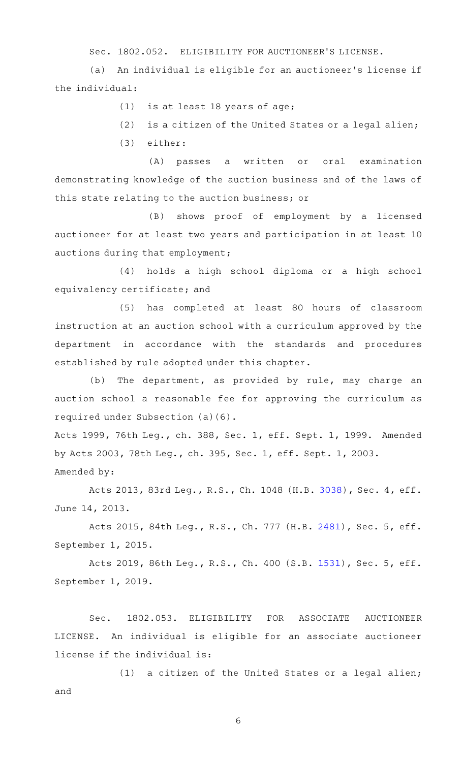Sec. 1802.052. ELIGIBILITY FOR AUCTIONEER'S LICENSE.

(a) An individual is eligible for an auctioneer's license if the individual:

 $(1)$  is at least 18 years of age;

 $(2)$  is a citizen of the United States or a legal alien;

(3) either:

(A) passes a written or oral examination demonstrating knowledge of the auction business and of the laws of this state relating to the auction business; or

(B) shows proof of employment by a licensed auctioneer for at least two years and participation in at least 10 auctions during that employment;

(4) holds a high school diploma or a high school equivalency certificate; and

(5) has completed at least 80 hours of classroom instruction at an auction school with a curriculum approved by the department in accordance with the standards and procedures established by rule adopted under this chapter.

(b) The department, as provided by rule, may charge an auction school a reasonable fee for approving the curriculum as required under Subsection (a)(6).

Acts 1999, 76th Leg., ch. 388, Sec. 1, eff. Sept. 1, 1999. Amended by Acts 2003, 78th Leg., ch. 395, Sec. 1, eff. Sept. 1, 2003. Amended by:

Acts 2013, 83rd Leg., R.S., Ch. 1048 (H.B. [3038](http://www.legis.state.tx.us/tlodocs/83R/billtext/html/HB03038F.HTM)), Sec. 4, eff. June 14, 2013.

Acts 2015, 84th Leg., R.S., Ch. 777 (H.B. [2481](http://www.legis.state.tx.us/tlodocs/84R/billtext/html/HB02481F.HTM)), Sec. 5, eff. September 1, 2015.

Acts 2019, 86th Leg., R.S., Ch. 400 (S.B. [1531](http://www.legis.state.tx.us/tlodocs/86R/billtext/html/SB01531F.HTM)), Sec. 5, eff. September 1, 2019.

Sec. 1802.053. ELIGIBILITY FOR ASSOCIATE AUCTIONEER LICENSE. An individual is eligible for an associate auctioneer license if the individual is:

(1) a citizen of the United States or a legal alien; and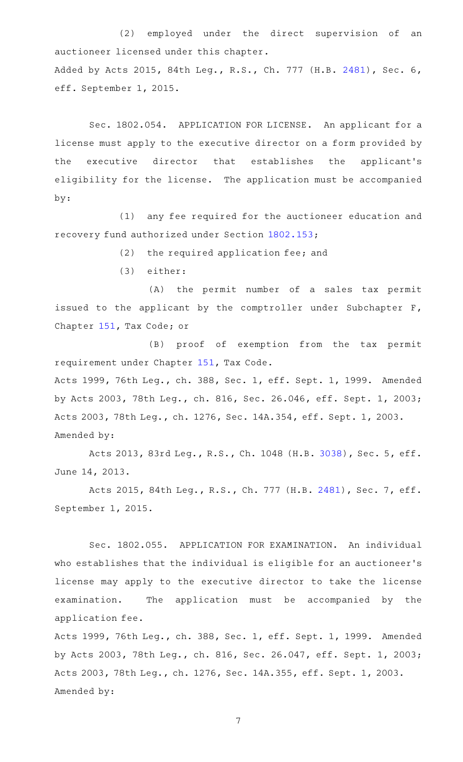(2) employed under the direct supervision of an auctioneer licensed under this chapter. Added by Acts 2015, 84th Leg., R.S., Ch. 777 (H.B. [2481](http://www.legis.state.tx.us/tlodocs/84R/billtext/html/HB02481F.HTM)), Sec. 6, eff. September 1, 2015.

Sec. 1802.054. APPLICATION FOR LICENSE. An applicant for a license must apply to the executive director on a form provided by the executive director that establishes the applicant 's eligibility for the license. The application must be accompanied by:

(1) any fee required for the auctioneer education and recovery fund authorized under Section [1802.153](http://www.statutes.legis.state.tx.us/GetStatute.aspx?Code=OC&Value=1802.153);

 $(2)$  the required application fee; and

(3) either:

(A) the permit number of a sales tax permit issued to the applicant by the comptroller under Subchapter F, Chapter [151,](http://www.statutes.legis.state.tx.us/GetStatute.aspx?Code=TX&Value=151) Tax Code; or

(B) proof of exemption from the tax permit requirement under Chapter [151](http://www.statutes.legis.state.tx.us/GetStatute.aspx?Code=TX&Value=151), Tax Code.

Acts 1999, 76th Leg., ch. 388, Sec. 1, eff. Sept. 1, 1999. Amended by Acts 2003, 78th Leg., ch. 816, Sec. 26.046, eff. Sept. 1, 2003; Acts 2003, 78th Leg., ch. 1276, Sec. 14A.354, eff. Sept. 1, 2003. Amended by:

Acts 2013, 83rd Leg., R.S., Ch. 1048 (H.B. [3038](http://www.legis.state.tx.us/tlodocs/83R/billtext/html/HB03038F.HTM)), Sec. 5, eff. June 14, 2013.

Acts 2015, 84th Leg., R.S., Ch. 777 (H.B. [2481](http://www.legis.state.tx.us/tlodocs/84R/billtext/html/HB02481F.HTM)), Sec. 7, eff. September 1, 2015.

Sec. 1802.055. APPLICATION FOR EXAMINATION. An individual who establishes that the individual is eligible for an auctioneer 's license may apply to the executive director to take the license examination. The application must be accompanied by the application fee.

Acts 1999, 76th Leg., ch. 388, Sec. 1, eff. Sept. 1, 1999. Amended by Acts 2003, 78th Leg., ch. 816, Sec. 26.047, eff. Sept. 1, 2003; Acts 2003, 78th Leg., ch. 1276, Sec. 14A.355, eff. Sept. 1, 2003. Amended by: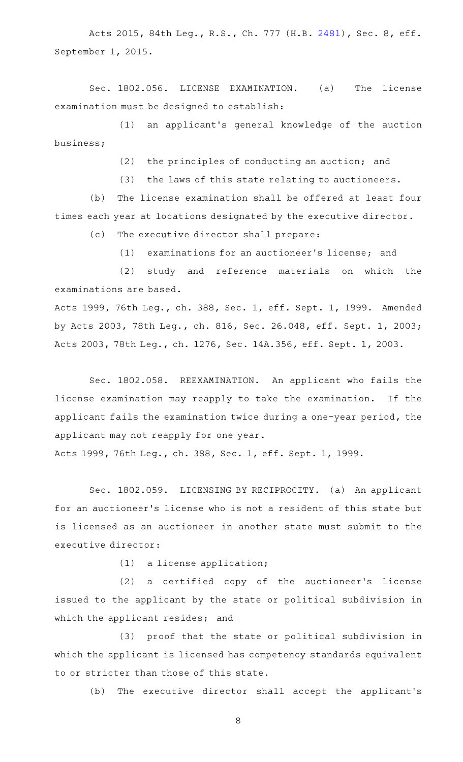Acts 2015, 84th Leg., R.S., Ch. 777 (H.B. [2481](http://www.legis.state.tx.us/tlodocs/84R/billtext/html/HB02481F.HTM)), Sec. 8, eff. September 1, 2015.

Sec. 1802.056. LICENSE EXAMINATION. (a) The license examination must be designed to establish:

(1) an applicant's general knowledge of the auction business;

(2) the principles of conducting an auction; and

 $(3)$  the laws of this state relating to auctioneers.

(b) The license examination shall be offered at least four times each year at locations designated by the executive director.

(c) The executive director shall prepare:

(1) examinations for an auctioneer's license; and

(2) study and reference materials on which the examinations are based.

Acts 1999, 76th Leg., ch. 388, Sec. 1, eff. Sept. 1, 1999. Amended by Acts 2003, 78th Leg., ch. 816, Sec. 26.048, eff. Sept. 1, 2003; Acts 2003, 78th Leg., ch. 1276, Sec. 14A.356, eff. Sept. 1, 2003.

Sec. 1802.058. REEXAMINATION. An applicant who fails the license examination may reapply to take the examination. If the applicant fails the examination twice during a one-year period, the applicant may not reapply for one year.

Acts 1999, 76th Leg., ch. 388, Sec. 1, eff. Sept. 1, 1999.

Sec. 1802.059. LICENSING BY RECIPROCITY. (a) An applicant for an auctioneer 's license who is not a resident of this state but is licensed as an auctioneer in another state must submit to the executive director:

 $(1)$  a license application;

(2) a certified copy of the auctioneer's license issued to the applicant by the state or political subdivision in which the applicant resides; and

(3) proof that the state or political subdivision in which the applicant is licensed has competency standards equivalent to or stricter than those of this state.

(b) The executive director shall accept the applicant's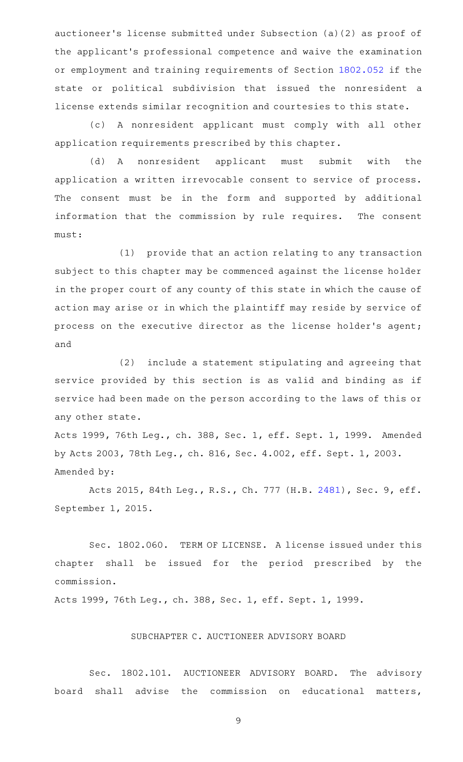auctioneer 's license submitted under Subsection (a)(2) as proof of the applicant 's professional competence and waive the examination or employment and training requirements of Section [1802.052](http://www.statutes.legis.state.tx.us/GetStatute.aspx?Code=OC&Value=1802.052) if the state or political subdivision that issued the nonresident a license extends similar recognition and courtesies to this state.

(c)AAA nonresident applicant must comply with all other application requirements prescribed by this chapter.

(d) A nonresident applicant must submit with the application a written irrevocable consent to service of process. The consent must be in the form and supported by additional information that the commission by rule requires. The consent must:

(1) provide that an action relating to any transaction subject to this chapter may be commenced against the license holder in the proper court of any county of this state in which the cause of action may arise or in which the plaintiff may reside by service of process on the executive director as the license holder's agent; and

(2) include a statement stipulating and agreeing that service provided by this section is as valid and binding as if service had been made on the person according to the laws of this or any other state.

Acts 1999, 76th Leg., ch. 388, Sec. 1, eff. Sept. 1, 1999. Amended by Acts 2003, 78th Leg., ch. 816, Sec. 4.002, eff. Sept. 1, 2003. Amended by:

Acts 2015, 84th Leg., R.S., Ch. 777 (H.B. [2481](http://www.legis.state.tx.us/tlodocs/84R/billtext/html/HB02481F.HTM)), Sec. 9, eff. September 1, 2015.

Sec. 1802.060. TERM OF LICENSE. A license issued under this chapter shall be issued for the period prescribed by the commission.

Acts 1999, 76th Leg., ch. 388, Sec. 1, eff. Sept. 1, 1999.

# SUBCHAPTER C. AUCTIONEER ADVISORY BOARD

Sec. 1802.101. AUCTIONEER ADVISORY BOARD. The advisory board shall advise the commission on educational matters,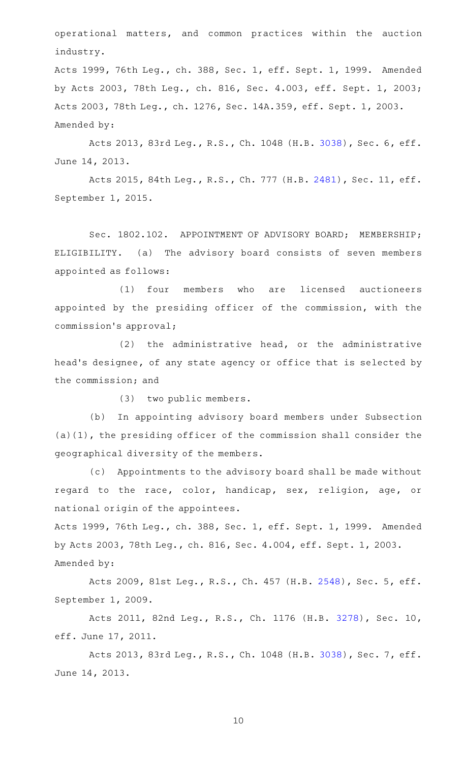operational matters, and common practices within the auction industry.

Acts 1999, 76th Leg., ch. 388, Sec. 1, eff. Sept. 1, 1999. Amended by Acts 2003, 78th Leg., ch. 816, Sec. 4.003, eff. Sept. 1, 2003; Acts 2003, 78th Leg., ch. 1276, Sec. 14A.359, eff. Sept. 1, 2003. Amended by:

Acts 2013, 83rd Leg., R.S., Ch. 1048 (H.B. [3038](http://www.legis.state.tx.us/tlodocs/83R/billtext/html/HB03038F.HTM)), Sec. 6, eff. June 14, 2013.

Acts 2015, 84th Leg., R.S., Ch. 777 (H.B. [2481\)](http://www.legis.state.tx.us/tlodocs/84R/billtext/html/HB02481F.HTM), Sec. 11, eff. September 1, 2015.

Sec. 1802.102. APPOINTMENT OF ADVISORY BOARD; MEMBERSHIP; ELIGIBILITY. (a) The advisory board consists of seven members appointed as follows:

(1) four members who are licensed auctioneers appointed by the presiding officer of the commission, with the commission 's approval;

 $(2)$  the administrative head, or the administrative head 's designee, of any state agency or office that is selected by the commission; and

(3) two public members.

(b) In appointing advisory board members under Subsection (a)(1), the presiding officer of the commission shall consider the geographical diversity of the members.

(c) Appointments to the advisory board shall be made without regard to the race, color, handicap, sex, religion, age, or national origin of the appointees.

Acts 1999, 76th Leg., ch. 388, Sec. 1, eff. Sept. 1, 1999. Amended by Acts 2003, 78th Leg., ch. 816, Sec. 4.004, eff. Sept. 1, 2003. Amended by:

Acts 2009, 81st Leg., R.S., Ch. 457 (H.B. [2548](http://www.legis.state.tx.us/tlodocs/81R/billtext/html/HB02548F.HTM)), Sec. 5, eff. September 1, 2009.

Acts 2011, 82nd Leg., R.S., Ch. 1176 (H.B. [3278](http://www.legis.state.tx.us/tlodocs/82R/billtext/html/HB03278F.HTM)), Sec. 10, eff. June 17, 2011.

Acts 2013, 83rd Leg., R.S., Ch. 1048 (H.B. [3038](http://www.legis.state.tx.us/tlodocs/83R/billtext/html/HB03038F.HTM)), Sec. 7, eff. June 14, 2013.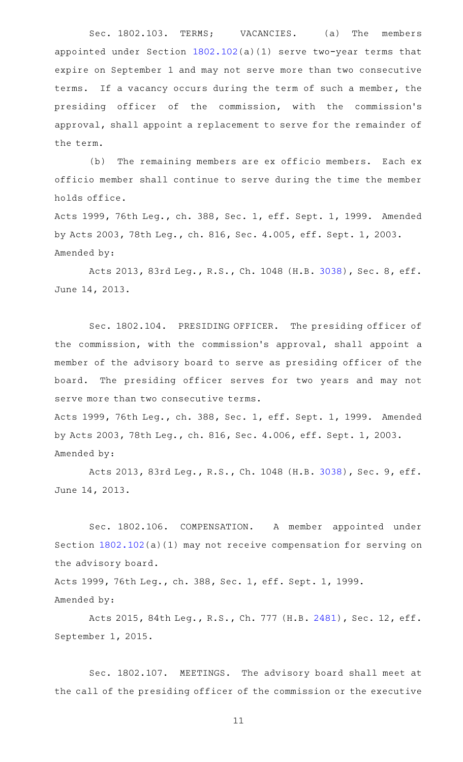Sec. 1802.103. TERMS; VACANCIES. (a) The members appointed under Section [1802.102\(](http://www.statutes.legis.state.tx.us/GetStatute.aspx?Code=OC&Value=1802.102)a)(1) serve two-year terms that expire on September 1 and may not serve more than two consecutive terms. If a vacancy occurs during the term of such a member, the presiding officer of the commission, with the commission 's approval, shall appoint a replacement to serve for the remainder of the term.

(b) The remaining members are ex officio members. Each ex officio member shall continue to serve during the time the member holds office.

Acts 1999, 76th Leg., ch. 388, Sec. 1, eff. Sept. 1, 1999. Amended by Acts 2003, 78th Leg., ch. 816, Sec. 4.005, eff. Sept. 1, 2003. Amended by:

Acts 2013, 83rd Leg., R.S., Ch. 1048 (H.B. [3038](http://www.legis.state.tx.us/tlodocs/83R/billtext/html/HB03038F.HTM)), Sec. 8, eff. June 14, 2013.

Sec. 1802.104. PRESIDING OFFICER. The presiding officer of the commission, with the commission 's approval, shall appoint a member of the advisory board to serve as presiding officer of the board. The presiding officer serves for two years and may not serve more than two consecutive terms.

Acts 1999, 76th Leg., ch. 388, Sec. 1, eff. Sept. 1, 1999. Amended by Acts 2003, 78th Leg., ch. 816, Sec. 4.006, eff. Sept. 1, 2003. Amended by:

Acts 2013, 83rd Leg., R.S., Ch. 1048 (H.B. [3038](http://www.legis.state.tx.us/tlodocs/83R/billtext/html/HB03038F.HTM)), Sec. 9, eff. June 14, 2013.

Sec. 1802.106. COMPENSATION. A member appointed under Section [1802.102](http://www.statutes.legis.state.tx.us/GetStatute.aspx?Code=OC&Value=1802.102)(a)(1) may not receive compensation for serving on the advisory board.

Acts 1999, 76th Leg., ch. 388, Sec. 1, eff. Sept. 1, 1999. Amended by:

Acts 2015, 84th Leg., R.S., Ch. 777 (H.B. [2481\)](http://www.legis.state.tx.us/tlodocs/84R/billtext/html/HB02481F.HTM), Sec. 12, eff. September 1, 2015.

Sec. 1802.107. MEETINGS. The advisory board shall meet at the call of the presiding officer of the commission or the executive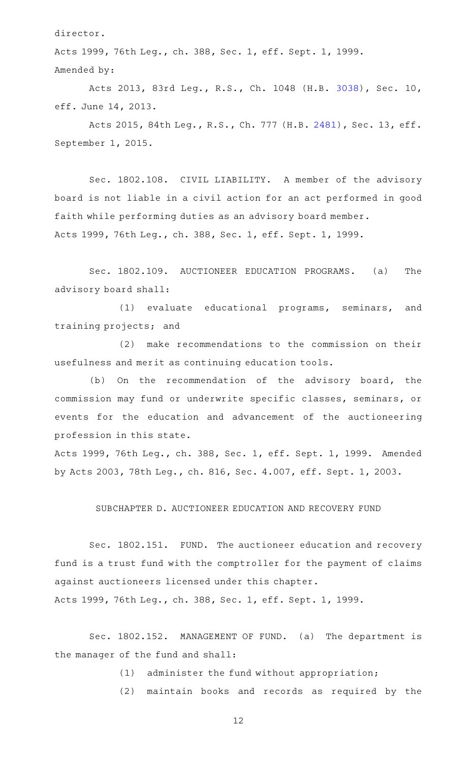director.

Acts 1999, 76th Leg., ch. 388, Sec. 1, eff. Sept. 1, 1999. Amended by:

Acts 2013, 83rd Leg., R.S., Ch. 1048 (H.B. [3038](http://www.legis.state.tx.us/tlodocs/83R/billtext/html/HB03038F.HTM)), Sec. 10, eff. June 14, 2013.

Acts 2015, 84th Leg., R.S., Ch. 777 (H.B. [2481\)](http://www.legis.state.tx.us/tlodocs/84R/billtext/html/HB02481F.HTM), Sec. 13, eff. September 1, 2015.

Sec. 1802.108. CIVIL LIABILITY. A member of the advisory board is not liable in a civil action for an act performed in good faith while performing duties as an advisory board member. Acts 1999, 76th Leg., ch. 388, Sec. 1, eff. Sept. 1, 1999.

Sec. 1802.109. AUCTIONEER EDUCATION PROGRAMS. (a) The advisory board shall:

(1) evaluate educational programs, seminars, and training projects; and

(2) make recommendations to the commission on their usefulness and merit as continuing education tools.

(b) On the recommendation of the advisory board, the commission may fund or underwrite specific classes, seminars, or events for the education and advancement of the auctioneering profession in this state.

Acts 1999, 76th Leg., ch. 388, Sec. 1, eff. Sept. 1, 1999. Amended by Acts 2003, 78th Leg., ch. 816, Sec. 4.007, eff. Sept. 1, 2003.

## SUBCHAPTER D. AUCTIONEER EDUCATION AND RECOVERY FUND

Sec. 1802.151. FUND. The auctioneer education and recovery fund is a trust fund with the comptroller for the payment of claims against auctioneers licensed under this chapter.

Acts 1999, 76th Leg., ch. 388, Sec. 1, eff. Sept. 1, 1999.

Sec. 1802.152. MANAGEMENT OF FUND. (a) The department is the manager of the fund and shall:

 $(1)$  administer the fund without appropriation;

(2) maintain books and records as required by the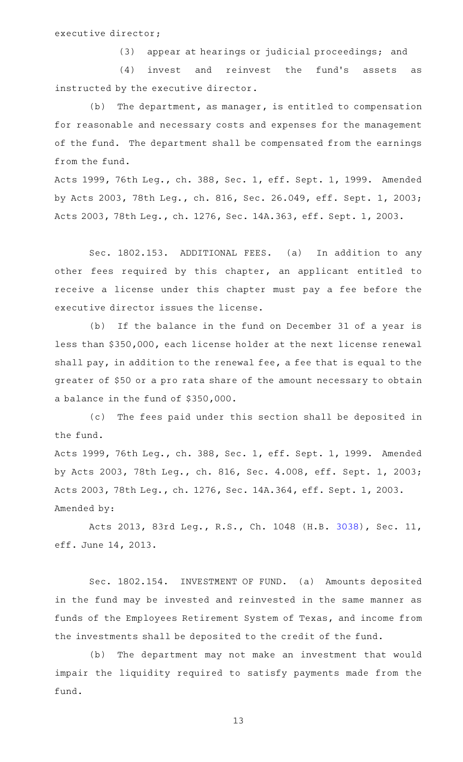(3) appear at hearings or judicial proceedings; and

(4) invest and reinvest the fund's assets as instructed by the executive director.

 $(b)$  The department, as manager, is entitled to compensation for reasonable and necessary costs and expenses for the management of the fund. The department shall be compensated from the earnings from the fund.

Acts 1999, 76th Leg., ch. 388, Sec. 1, eff. Sept. 1, 1999. Amended by Acts 2003, 78th Leg., ch. 816, Sec. 26.049, eff. Sept. 1, 2003; Acts 2003, 78th Leg., ch. 1276, Sec. 14A.363, eff. Sept. 1, 2003.

Sec. 1802.153. ADDITIONAL FEES. (a) In addition to any other fees required by this chapter, an applicant entitled to receive a license under this chapter must pay a fee before the executive director issues the license.

(b) If the balance in the fund on December 31 of a year is less than \$350,000, each license holder at the next license renewal shall pay, in addition to the renewal fee, a fee that is equal to the greater of \$50 or a pro rata share of the amount necessary to obtain a balance in the fund of \$350,000.

(c) The fees paid under this section shall be deposited in the fund.

Acts 1999, 76th Leg., ch. 388, Sec. 1, eff. Sept. 1, 1999. Amended by Acts 2003, 78th Leg., ch. 816, Sec. 4.008, eff. Sept. 1, 2003; Acts 2003, 78th Leg., ch. 1276, Sec. 14A.364, eff. Sept. 1, 2003. Amended by:

Acts 2013, 83rd Leg., R.S., Ch. 1048 (H.B. [3038](http://www.legis.state.tx.us/tlodocs/83R/billtext/html/HB03038F.HTM)), Sec. 11, eff. June 14, 2013.

Sec. 1802.154. INVESTMENT OF FUND. (a) Amounts deposited in the fund may be invested and reinvested in the same manner as funds of the Employees Retirement System of Texas, and income from the investments shall be deposited to the credit of the fund.

(b) The department may not make an investment that would impair the liquidity required to satisfy payments made from the fund.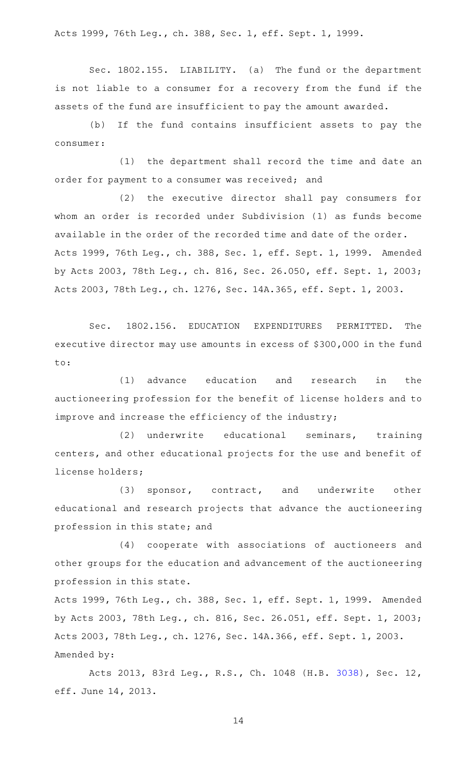Acts 1999, 76th Leg., ch. 388, Sec. 1, eff. Sept. 1, 1999.

Sec. 1802.155. LIABILITY. (a) The fund or the department is not liable to a consumer for a recovery from the fund if the assets of the fund are insufficient to pay the amount awarded.

(b) If the fund contains insufficient assets to pay the consumer:

(1) the department shall record the time and date an order for payment to a consumer was received; and

(2) the executive director shall pay consumers for whom an order is recorded under Subdivision (1) as funds become available in the order of the recorded time and date of the order. Acts 1999, 76th Leg., ch. 388, Sec. 1, eff. Sept. 1, 1999. Amended by Acts 2003, 78th Leg., ch. 816, Sec. 26.050, eff. Sept. 1, 2003; Acts 2003, 78th Leg., ch. 1276, Sec. 14A.365, eff. Sept. 1, 2003.

Sec. 1802.156. EDUCATION EXPENDITURES PERMITTED. The executive director may use amounts in excess of \$300,000 in the fund to:

(1) advance education and research in the auctioneering profession for the benefit of license holders and to improve and increase the efficiency of the industry;

(2) underwrite educational seminars, training centers, and other educational projects for the use and benefit of license holders;

(3) sponsor, contract, and underwrite other educational and research projects that advance the auctioneering profession in this state; and

(4) cooperate with associations of auctioneers and other groups for the education and advancement of the auctioneering profession in this state.

Acts 1999, 76th Leg., ch. 388, Sec. 1, eff. Sept. 1, 1999. Amended by Acts 2003, 78th Leg., ch. 816, Sec. 26.051, eff. Sept. 1, 2003; Acts 2003, 78th Leg., ch. 1276, Sec. 14A.366, eff. Sept. 1, 2003. Amended by:

Acts 2013, 83rd Leg., R.S., Ch. 1048 (H.B. [3038](http://www.legis.state.tx.us/tlodocs/83R/billtext/html/HB03038F.HTM)), Sec. 12, eff. June 14, 2013.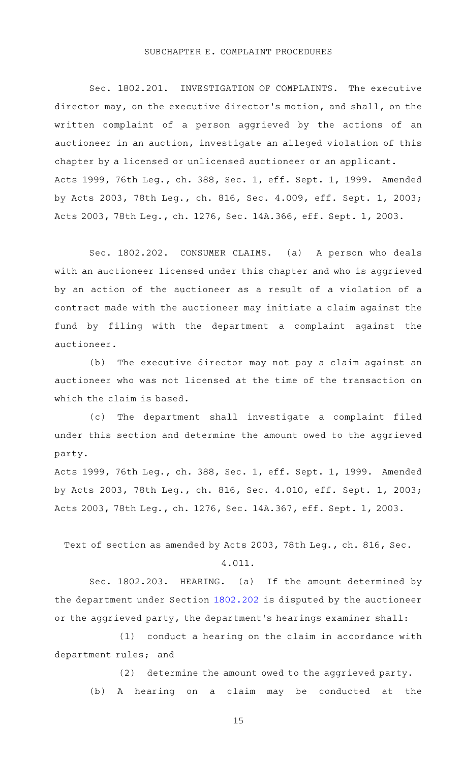#### SUBCHAPTER E. COMPLAINT PROCEDURES

Sec. 1802.201. INVESTIGATION OF COMPLAINTS. The executive director may, on the executive director 's motion, and shall, on the written complaint of a person aggrieved by the actions of an auctioneer in an auction, investigate an alleged violation of this chapter by a licensed or unlicensed auctioneer or an applicant. Acts 1999, 76th Leg., ch. 388, Sec. 1, eff. Sept. 1, 1999. Amended by Acts 2003, 78th Leg., ch. 816, Sec. 4.009, eff. Sept. 1, 2003; Acts 2003, 78th Leg., ch. 1276, Sec. 14A.366, eff. Sept. 1, 2003.

Sec. 1802.202. CONSUMER CLAIMS. (a) A person who deals with an auctioneer licensed under this chapter and who is aggrieved by an action of the auctioneer as a result of a violation of a contract made with the auctioneer may initiate a claim against the fund by filing with the department a complaint against the auctioneer.

(b) The executive director may not pay a claim against an auctioneer who was not licensed at the time of the transaction on which the claim is based.

(c) The department shall investigate a complaint filed under this section and determine the amount owed to the aggrieved party.

Acts 1999, 76th Leg., ch. 388, Sec. 1, eff. Sept. 1, 1999. Amended by Acts 2003, 78th Leg., ch. 816, Sec. 4.010, eff. Sept. 1, 2003; Acts 2003, 78th Leg., ch. 1276, Sec. 14A.367, eff. Sept. 1, 2003.

Text of section as amended by Acts 2003, 78th Leg., ch. 816, Sec.

#### 4.011.

Sec. 1802.203. HEARING. (a) If the amount determined by the department under Section [1802.202](http://www.statutes.legis.state.tx.us/GetStatute.aspx?Code=OC&Value=1802.202) is disputed by the auctioneer or the aggrieved party, the department 's hearings examiner shall:

 $(1)$  conduct a hearing on the claim in accordance with department rules; and

(2) determine the amount owed to the aggrieved party. (b)AAA hearing on a claim may be conducted at the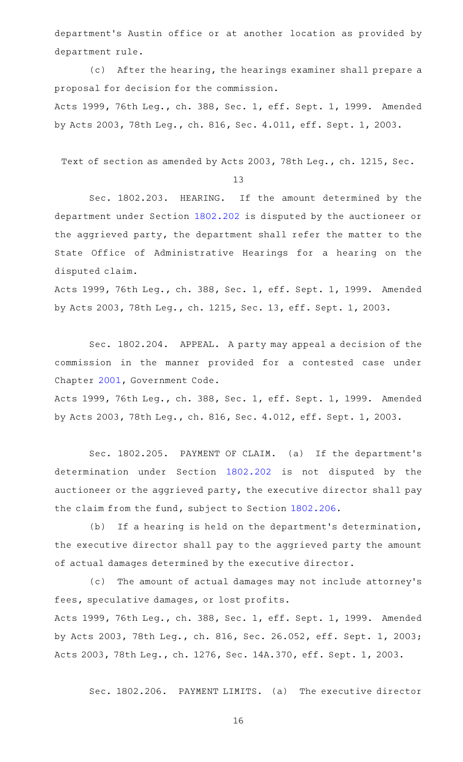department 's Austin office or at another location as provided by department rule.

(c) After the hearing, the hearings examiner shall prepare a proposal for decision for the commission.

Acts 1999, 76th Leg., ch. 388, Sec. 1, eff. Sept. 1, 1999. Amended by Acts 2003, 78th Leg., ch. 816, Sec. 4.011, eff. Sept. 1, 2003.

Text of section as amended by Acts 2003, 78th Leg., ch. 1215, Sec.

13

Sec. 1802.203. HEARING. If the amount determined by the department under Section [1802.202](http://www.statutes.legis.state.tx.us/GetStatute.aspx?Code=OC&Value=1802.202) is disputed by the auctioneer or the aggrieved party, the department shall refer the matter to the State Office of Administrative Hearings for a hearing on the disputed claim.

Acts 1999, 76th Leg., ch. 388, Sec. 1, eff. Sept. 1, 1999. Amended by Acts 2003, 78th Leg., ch. 1215, Sec. 13, eff. Sept. 1, 2003.

Sec. 1802.204. APPEAL. A party may appeal a decision of the commission in the manner provided for a contested case under Chapter [2001](http://www.statutes.legis.state.tx.us/GetStatute.aspx?Code=GV&Value=2001), Government Code.

Acts 1999, 76th Leg., ch. 388, Sec. 1, eff. Sept. 1, 1999. Amended by Acts 2003, 78th Leg., ch. 816, Sec. 4.012, eff. Sept. 1, 2003.

Sec. 1802.205. PAYMENT OF CLAIM. (a) If the department's determination under Section [1802.202](http://www.statutes.legis.state.tx.us/GetStatute.aspx?Code=OC&Value=1802.202) is not disputed by the auctioneer or the aggrieved party, the executive director shall pay the claim from the fund, subject to Section [1802.206](http://www.statutes.legis.state.tx.us/GetStatute.aspx?Code=OC&Value=1802.206).

(b) If a hearing is held on the department's determination, the executive director shall pay to the aggrieved party the amount of actual damages determined by the executive director.

(c) The amount of actual damages may not include attorney's fees, speculative damages, or lost profits.

Acts 1999, 76th Leg., ch. 388, Sec. 1, eff. Sept. 1, 1999. Amended by Acts 2003, 78th Leg., ch. 816, Sec. 26.052, eff. Sept. 1, 2003; Acts 2003, 78th Leg., ch. 1276, Sec. 14A.370, eff. Sept. 1, 2003.

Sec. 1802.206. PAYMENT LIMITS. (a) The executive director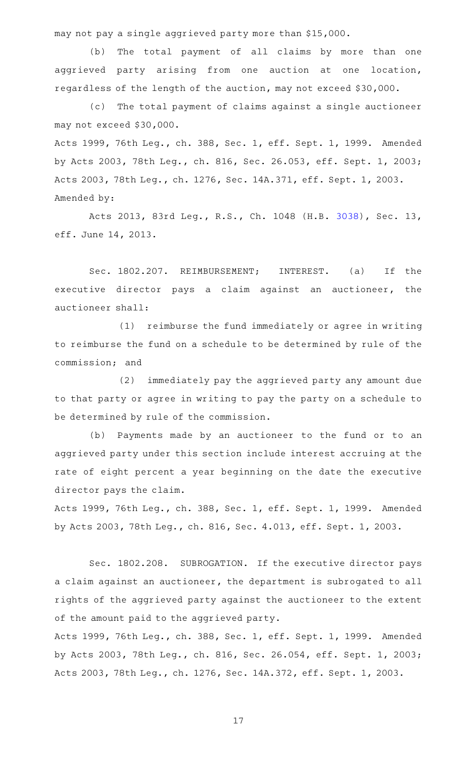may not pay a single aggrieved party more than \$15,000.

(b) The total payment of all claims by more than one aggrieved party arising from one auction at one location, regardless of the length of the auction, may not exceed \$30,000.

(c) The total payment of claims against a single auctioneer may not exceed \$30,000.

Acts 1999, 76th Leg., ch. 388, Sec. 1, eff. Sept. 1, 1999. Amended by Acts 2003, 78th Leg., ch. 816, Sec. 26.053, eff. Sept. 1, 2003; Acts 2003, 78th Leg., ch. 1276, Sec. 14A.371, eff. Sept. 1, 2003. Amended by:

Acts 2013, 83rd Leg., R.S., Ch. 1048 (H.B. [3038](http://www.legis.state.tx.us/tlodocs/83R/billtext/html/HB03038F.HTM)), Sec. 13, eff. June 14, 2013.

Sec. 1802.207. REIMBURSEMENT; INTEREST. (a) If the executive director pays a claim against an auctioneer, the auctioneer shall:

(1) reimburse the fund immediately or agree in writing to reimburse the fund on a schedule to be determined by rule of the commission; and

(2) immediately pay the aggrieved party any amount due to that party or agree in writing to pay the party on a schedule to be determined by rule of the commission.

(b) Payments made by an auctioneer to the fund or to an aggrieved party under this section include interest accruing at the rate of eight percent a year beginning on the date the executive director pays the claim.

Acts 1999, 76th Leg., ch. 388, Sec. 1, eff. Sept. 1, 1999. Amended by Acts 2003, 78th Leg., ch. 816, Sec. 4.013, eff. Sept. 1, 2003.

Sec. 1802.208. SUBROGATION. If the executive director pays a claim against an auctioneer, the department is subrogated to all rights of the aggrieved party against the auctioneer to the extent of the amount paid to the aggrieved party.

Acts 1999, 76th Leg., ch. 388, Sec. 1, eff. Sept. 1, 1999. Amended by Acts 2003, 78th Leg., ch. 816, Sec. 26.054, eff. Sept. 1, 2003; Acts 2003, 78th Leg., ch. 1276, Sec. 14A.372, eff. Sept. 1, 2003.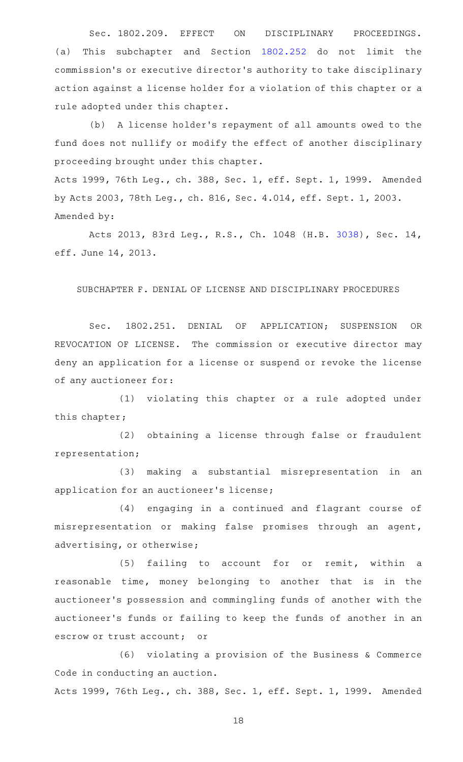Sec. 1802.209. EFFECT ON DISCIPLINARY PROCEEDINGS. (a) This subchapter and Section [1802.252](http://www.statutes.legis.state.tx.us/GetStatute.aspx?Code=OC&Value=1802.252) do not limit the commission 's or executive director 's authority to take disciplinary action against a license holder for a violation of this chapter or a rule adopted under this chapter.

(b) A license holder's repayment of all amounts owed to the fund does not nullify or modify the effect of another disciplinary proceeding brought under this chapter.

Acts 1999, 76th Leg., ch. 388, Sec. 1, eff. Sept. 1, 1999. Amended by Acts 2003, 78th Leg., ch. 816, Sec. 4.014, eff. Sept. 1, 2003. Amended by:

Acts 2013, 83rd Leg., R.S., Ch. 1048 (H.B. [3038](http://www.legis.state.tx.us/tlodocs/83R/billtext/html/HB03038F.HTM)), Sec. 14, eff. June 14, 2013.

SUBCHAPTER F. DENIAL OF LICENSE AND DISCIPLINARY PROCEDURES

Sec. 1802.251. DENIAL OF APPLICATION; SUSPENSION OR REVOCATION OF LICENSE. The commission or executive director may deny an application for a license or suspend or revoke the license of any auctioneer for:

(1) violating this chapter or a rule adopted under this chapter;

(2) obtaining a license through false or fraudulent representation;

(3) making a substantial misrepresentation in an application for an auctioneer 's license;

(4) engaging in a continued and flagrant course of misrepresentation or making false promises through an agent, advertising, or otherwise;

(5) failing to account for or remit, within a reasonable time, money belonging to another that is in the auctioneer 's possession and commingling funds of another with the auctioneer 's funds or failing to keep the funds of another in an escrow or trust account; or

 $(6)$  violating a provision of the Business & Commerce Code in conducting an auction.

Acts 1999, 76th Leg., ch. 388, Sec. 1, eff. Sept. 1, 1999. Amended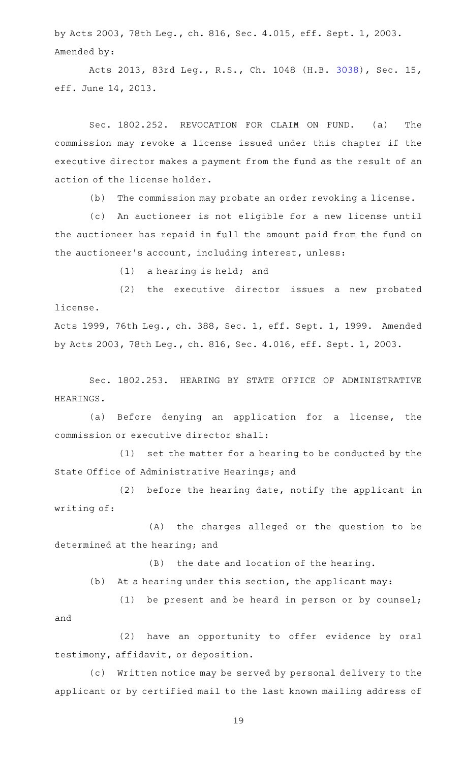by Acts 2003, 78th Leg., ch. 816, Sec. 4.015, eff. Sept. 1, 2003. Amended by:

Acts 2013, 83rd Leg., R.S., Ch. 1048 (H.B. [3038](http://www.legis.state.tx.us/tlodocs/83R/billtext/html/HB03038F.HTM)), Sec. 15, eff. June 14, 2013.

Sec. 1802.252. REVOCATION FOR CLAIM ON FUND. (a) The commission may revoke a license issued under this chapter if the executive director makes a payment from the fund as the result of an action of the license holder.

(b) The commission may probate an order revoking a license.

(c) An auctioneer is not eligible for a new license until the auctioneer has repaid in full the amount paid from the fund on the auctioneer 's account, including interest, unless:

 $(1)$  a hearing is held; and

(2) the executive director issues a new probated license.

Acts 1999, 76th Leg., ch. 388, Sec. 1, eff. Sept. 1, 1999. Amended by Acts 2003, 78th Leg., ch. 816, Sec. 4.016, eff. Sept. 1, 2003.

Sec. 1802.253. HEARING BY STATE OFFICE OF ADMINISTRATIVE HEARINGS.

(a) Before denying an application for a license, the commission or executive director shall:

 $(1)$  set the matter for a hearing to be conducted by the State Office of Administrative Hearings; and

 $(2)$  before the hearing date, notify the applicant in writing of:

(A) the charges alleged or the question to be determined at the hearing; and

(B) the date and location of the hearing.

(b) At a hearing under this section, the applicant may:

(1) be present and be heard in person or by counsel; and

(2) have an opportunity to offer evidence by oral testimony, affidavit, or deposition.

(c) Written notice may be served by personal delivery to the applicant or by certified mail to the last known mailing address of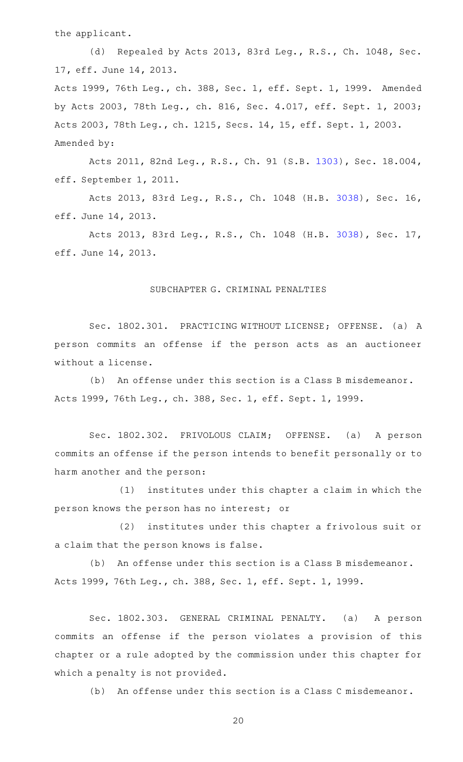the applicant.

(d) Repealed by Acts 2013, 83rd Leg., R.S., Ch. 1048, Sec. 17, eff. June 14, 2013. Acts 1999, 76th Leg., ch. 388, Sec. 1, eff. Sept. 1, 1999. Amended by Acts 2003, 78th Leg., ch. 816, Sec. 4.017, eff. Sept. 1, 2003; Acts 2003, 78th Leg., ch. 1215, Secs. 14, 15, eff. Sept. 1, 2003. Amended by:

Acts 2011, 82nd Leg., R.S., Ch. 91 (S.B. [1303](http://www.legis.state.tx.us/tlodocs/82R/billtext/html/SB01303F.HTM)), Sec. 18.004, eff. September 1, 2011.

Acts 2013, 83rd Leg., R.S., Ch. 1048 (H.B. [3038](http://www.legis.state.tx.us/tlodocs/83R/billtext/html/HB03038F.HTM)), Sec. 16, eff. June 14, 2013.

Acts 2013, 83rd Leg., R.S., Ch. 1048 (H.B. [3038](http://www.legis.state.tx.us/tlodocs/83R/billtext/html/HB03038F.HTM)), Sec. 17, eff. June 14, 2013.

### SUBCHAPTER G. CRIMINAL PENALTIES

Sec. 1802.301. PRACTICING WITHOUT LICENSE; OFFENSE. (a) A person commits an offense if the person acts as an auctioneer without a license.

(b) An offense under this section is a Class B misdemeanor. Acts 1999, 76th Leg., ch. 388, Sec. 1, eff. Sept. 1, 1999.

Sec. 1802.302. FRIVOLOUS CLAIM; OFFENSE. (a) A person commits an offense if the person intends to benefit personally or to harm another and the person:

(1) institutes under this chapter a claim in which the person knows the person has no interest; or

(2) institutes under this chapter a frivolous suit or a claim that the person knows is false.

(b) An offense under this section is a Class B misdemeanor. Acts 1999, 76th Leg., ch. 388, Sec. 1, eff. Sept. 1, 1999.

Sec. 1802.303. GENERAL CRIMINAL PENALTY. (a) A person commits an offense if the person violates a provision of this chapter or a rule adopted by the commission under this chapter for which a penalty is not provided.

(b) An offense under this section is a Class C misdemeanor.